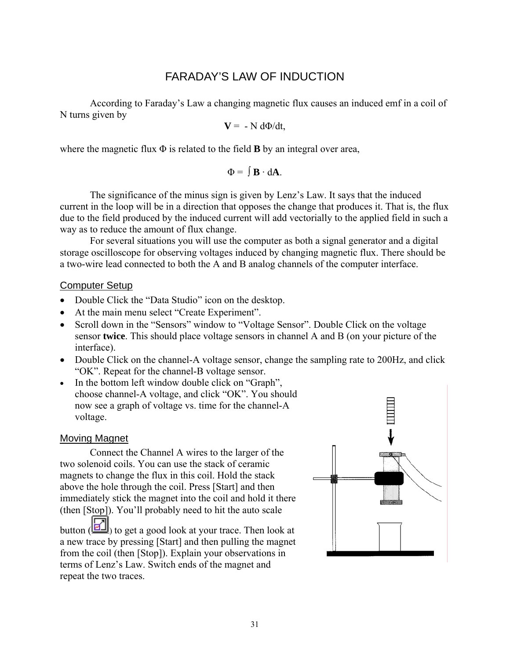# FARADAY'S LAW OF INDUCTION

According to Faraday's Law a changing magnetic flux causes an induced emf in a coil of N turns given by

$$
V = -N d\Phi/dt,
$$

where the magnetic flux  $\Phi$  is related to the field **B** by an integral over area,

$$
\Phi = \int \mathbf{B} \cdot d\mathbf{A}.
$$

The significance of the minus sign is given by Lenz's Law. It says that the induced current in the loop will be in a direction that opposes the change that produces it. That is, the flux due to the field produced by the induced current will add vectorially to the applied field in such a way as to reduce the amount of flux change.

For several situations you will use the computer as both a signal generator and a digital storage oscilloscope for observing voltages induced by changing magnetic flux. There should be a two-wire lead connected to both the A and B analog channels of the computer interface.

## Computer Setup

- Double Click the "Data Studio" icon on the desktop.
- At the main menu select "Create Experiment".
- Scroll down in the "Sensors" window to "Voltage Sensor". Double Click on the voltage sensor **twice**. This should place voltage sensors in channel A and B (on your picture of the interface).
- Double Click on the channel-A voltage sensor, change the sampling rate to 200Hz, and click "OK". Repeat for the channel-B voltage sensor.
- In the bottom left window double click on "Graph", choose channel-A voltage, and click "OK". You should now see a graph of voltage vs. time for the channel-A voltage.

## Moving Magnet

Connect the Channel A wires to the larger of the two solenoid coils. You can use the stack of ceramic magnets to change the flux in this coil. Hold the stack above the hole through the coil. Press [Start] and then immediately stick the magnet into the coil and hold it there (then [Stop]). You'll probably need to hit the auto scale button  $(\mathbf{H})$  to get a good look at your trace. Then look at a new trace by pressing [Start] and then pulling the magnet from the coil (then [Stop]). Explain your observations in terms of Lenz's Law. Switch ends of the magnet and repeat the two traces.

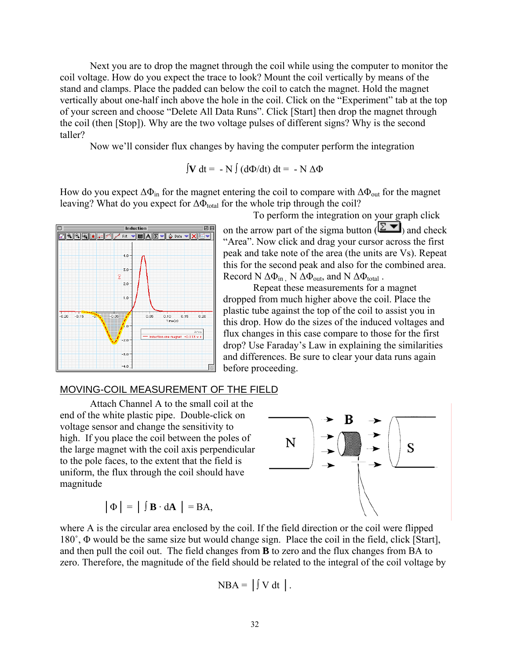Next you are to drop the magnet through the coil while using the computer to monitor the coil voltage. How do you expect the trace to look? Mount the coil vertically by means of the stand and clamps. Place the padded can below the coil to catch the magnet. Hold the magnet vertically about one-half inch above the hole in the coil. Click on the "Experiment" tab at the top of your screen and choose "Delete All Data Runs". Click [Start] then drop the magnet through the coil (then [Stop]). Why are the two voltage pulses of different signs? Why is the second taller?

Now we'll consider flux changes by having the computer perform the integration

$$
\int \mathbf{V} dt = -N \int (d\Phi/dt) dt = -N \Delta \Phi
$$

How do you expect  $\Delta\Phi_{in}$  for the magnet entering the coil to compare with  $\Delta\Phi_{out}$  for the magnet leaving? What do you expect for  $\Delta\Phi_{\text{total}}$  for the whole trip through the coil?



To perform the integration on your graph click on the arrow part of the sigma button ( $\Sigma$ , and check "Area". Now click and drag your cursor across the first peak and take note of the area (the units are Vs). Repeat this for the second peak and also for the combined area. Record N  $\Delta\Phi_{in}$ , N  $\Delta\Phi_{out}$ , and N  $\Delta\Phi_{total}$ .

Repeat these measurements for a magnet dropped from much higher above the coil. Place the plastic tube against the top of the coil to assist you in this drop. How do the sizes of the induced voltages and flux changes in this case compare to those for the first drop? Use Faraday's Law in explaining the similarities and differences. Be sure to clear your data runs again before proceeding.

#### MOVING-COIL MEASUREMENT OF THE FIELD

Attach Channel A to the small coil at the end of the white plastic pipe. Double-click on voltage sensor and change the sensitivity to high. If you place the coil between the poles of the large magnet with the coil axis perpendicular to the pole faces, to the extent that the field is uniform, the flux through the coil should have magnitude

$$
|\Phi| = | \int \mathbf{B} \cdot d\mathbf{A} | = BA,
$$



where A is the circular area enclosed by the coil. If the field direction or the coil were flipped 180˚, Φ would be the same size but would change sign. Place the coil in the field, click [Start], and then pull the coil out. The field changes from **B** to zero and the flux changes from BA to zero. Therefore, the magnitude of the field should be related to the integral of the coil voltage by

$$
NBA = | \int V dt |.
$$